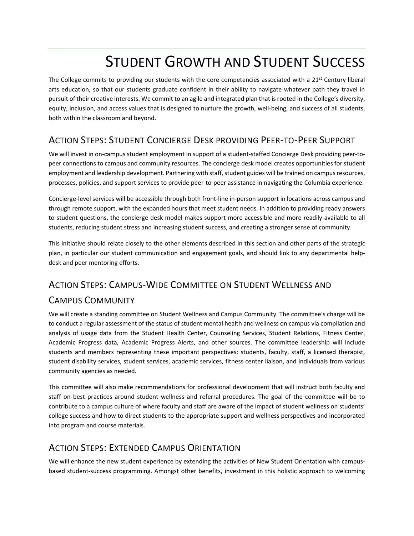# STUDENT GROWTH AND STUDENT SUCCESS

The College commits to providing our students with the core competencies associated with a  $21<sup>st</sup>$  Century liberal arts education, so that our students graduate confident in their ability to navigate whatever path they travel in pursuit of their creative interests. We commit to an agile and integrated plan that is rooted in the College's diversity, equity, inclusion, and access values that is designed to nurture the growth, well-being, and success of all students, both within the classroom and beyond.

## ACTION STEPS: STUDENT CONCIERGE DESK PROVIDING PEER-TO-PEER SUPPORT

We will invest in on-campus student employment in support of a student-staffed Concierge Desk providing peer-topeer connections to campus and community resources. The concierge desk model creates opportunities for student employment and leadership development. Partnering with staff, student guides will be trained on campus resources, processes, policies, and support services to provide peer-to-peer assistance in navigating the Columbia experience.

Concierge-level services will be accessible through both front-line in-person support in locations across campus and through remote support, with the expanded hours that meet student needs. In addition to providing ready answers to student questions, the concierge desk model makes support more accessible and more readily available to all students, reducing student stress and increasing student success, and creating a stronger sense of community.

This initiative should relate closely to the other elements described in this section and other parts of the strategic plan, in particular our student communication and engagement goals, and should link to any departmental helpdesk and peer mentoring efforts.

# ACTION STEPS: CAMPUS-WIDE COMMITTEE ON STUDENT WELLNESS AND CAMPUS COMMUNITY

We will create a standing committee on Student Wellness and Campus Community. The committee's charge will be to conduct a regular assessment of the status of student mental health and wellness on campus via compilation and analysis of usage data from the Student Health Center, Counseling Services, Student Relations, Fitness Center, Academic Progress data, Academic Progress Alerts, and other sources. The committee leadership will include students and members representing these important perspectives: students, faculty, staff, a licensed therapist, student disability services, student services, academic services, fitness center liaison, and individuals from various community agencies as needed.

This committee will also make recommendations for professional development that will instruct both faculty and staff on best practices around student wellness and referral procedures. The goal of the committee will be to contribute to a campus culture of where faculty and staff are aware of the impact of student wellness on students' college success and how to direct students to the appropriate support and wellness perspectives and incorporated into program and course materials.

#### ACTION STEPS: EXTENDED CAMPUS ORIENTATION

We will enhance the new student experience by extending the activities of New Student Orientation with campusbased student-success programming. Amongst other benefits, investment in this holistic approach to welcoming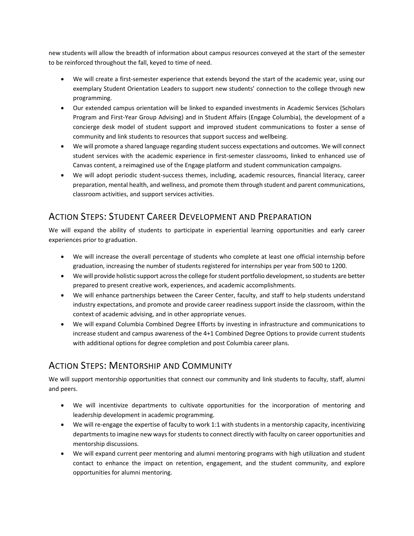new students will allow the breadth of information about campus resources conveyed at the start of the semester to be reinforced throughout the fall, keyed to time of need.

- We will create a first-semester experience that extends beyond the start of the academic year, using our exemplary Student Orientation Leaders to support new students' connection to the college through new programming.
- Our extended campus orientation will be linked to expanded investments in Academic Services (Scholars Program and First-Year Group Advising) and in Student Affairs (Engage Columbia), the development of a concierge desk model of student support and improved student communications to foster a sense of community and link students to resources that support success and wellbeing.
- We will promote a shared language regarding student success expectations and outcomes. We will connect student services with the academic experience in first-semester classrooms, linked to enhanced use of Canvas content, a reimagined use of the Engage platform and student communication campaigns.
- We will adopt periodic student-success themes, including, academic resources, financial literacy, career preparation, mental health, and wellness, and promote them through student and parent communications, classroom activities, and support services activities.

#### ACTION STEPS: STUDENT CAREER DEVELOPMENT AND PREPARATION

We will expand the ability of students to participate in experiential learning opportunities and early career experiences prior to graduation.

- We will increase the overall percentage of students who complete at least one official internship before graduation, increasing the number of students registered for internships per year from 500 to 1200.
- We will provide holistic support across the college for student portfolio development, so students are better prepared to present creative work, experiences, and academic accomplishments.
- We will enhance partnerships between the Career Center, faculty, and staff to help students understand industry expectations, and promote and provide career readiness support inside the classroom, within the context of academic advising, and in other appropriate venues.
- We will expand Columbia Combined Degree Efforts by investing in infrastructure and communications to increase student and campus awareness of the 4+1 Combined Degree Options to provide current students with additional options for degree completion and post Columbia career plans.

### ACTION STEPS: MENTORSHIP AND COMMUNITY

We will support mentorship opportunities that connect our community and link students to faculty, staff, alumni and peers.

- We will incentivize departments to cultivate opportunities for the incorporation of mentoring and leadership development in academic programming.
- We will re-engage the expertise of faculty to work 1:1 with students in a mentorship capacity, incentivizing departments to imagine new ways for students to connect directly with faculty on career opportunities and mentorship discussions.
- We will expand current peer mentoring and alumni mentoring programs with high utilization and student contact to enhance the impact on retention, engagement, and the student community, and explore opportunities for alumni mentoring.